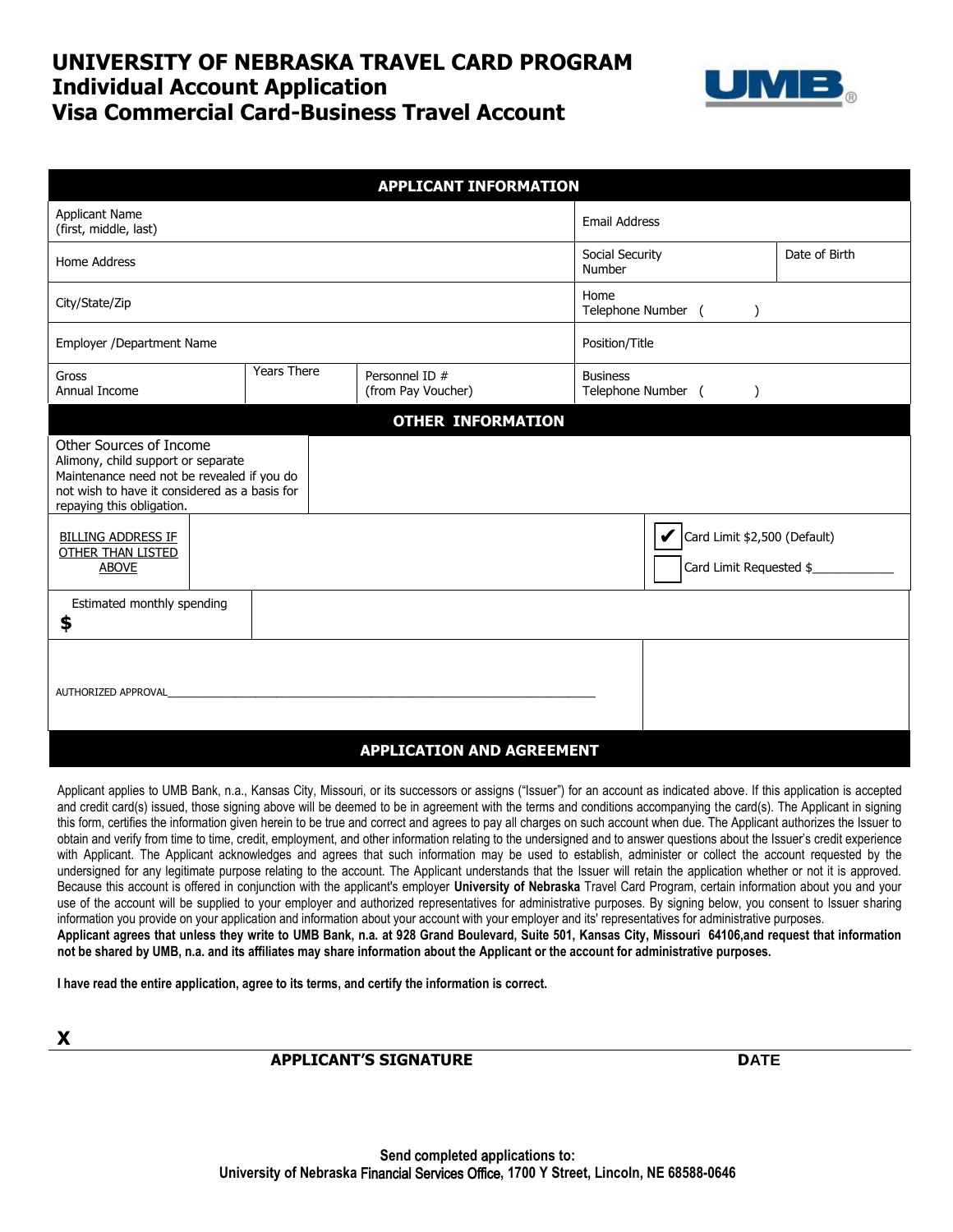## **UNIVERSITY OF NEBRASKA TRAVEL CARD PROGRAM Individual Account Application Visa Commercial Card-Business Travel Account**



| <b>APPLICANT INFORMATION</b>                                                                                                                                                              |                    |                                      |                                                    |                         |  |
|-------------------------------------------------------------------------------------------------------------------------------------------------------------------------------------------|--------------------|--------------------------------------|----------------------------------------------------|-------------------------|--|
| <b>Applicant Name</b><br>(first, middle, last)                                                                                                                                            |                    |                                      | <b>Email Address</b>                               |                         |  |
| Home Address                                                                                                                                                                              |                    |                                      | Social Security<br>Number                          | Date of Birth           |  |
| City/State/Zip                                                                                                                                                                            |                    |                                      | Home<br>Telephone Number (                         |                         |  |
| Employer /Department Name                                                                                                                                                                 |                    |                                      | Position/Title                                     |                         |  |
| Gross<br>Annual Income                                                                                                                                                                    | <b>Years There</b> | Personnel ID #<br>(from Pay Voucher) | <b>Business</b><br>Telephone Number (<br>$\lambda$ |                         |  |
|                                                                                                                                                                                           |                    | <b>OTHER INFORMATION</b>             |                                                    |                         |  |
| Other Sources of Income<br>Alimony, child support or separate<br>Maintenance need not be revealed if you do<br>not wish to have it considered as a basis for<br>repaying this obligation. |                    |                                      |                                                    |                         |  |
| <b>BILLING ADDRESS IF</b><br><b>OTHER THAN LISTED</b><br><b>ABOVE</b>                                                                                                                     |                    |                                      | Card Limit \$2,500 (Default)                       | Card Limit Requested \$ |  |
| Estimated monthly spending<br>\$                                                                                                                                                          |                    |                                      |                                                    |                         |  |
| AUTHORIZED APPROVAL                                                                                                                                                                       |                    |                                      |                                                    |                         |  |
| <b>APPLICATION AND AGREEMENT</b>                                                                                                                                                          |                    |                                      |                                                    |                         |  |

Applicant applies to UMB Bank, n.a., Kansas City, Missouri, or its successors or assigns ("Issuer") for an account as indicated above. If this application is accepted and credit card(s) issued, those signing above will be deemed to be in agreement with the terms and conditions accompanying the card(s). The Applicant in signing this form, certifies the information given herein to be true and correct and agrees to pay all charges on such account when due. The Applicant authorizes the Issuer to obtain and verify from time to time, credit, employment, and other information relating to the undersigned and to answer questions about the Issuer's credit experience with Applicant. The Applicant acknowledges and agrees that such information may be used to establish, administer or collect the account requested by the undersigned for any legitimate purpose relating to the account. The Applicant understands that the Issuer will retain the application whether or not it is approved. Because this account is offered in conjunction with the applicant's employer **University of Nebraska** Travel Card Program, certain information about you and your use of the account will be supplied to your employer and authorized representatives for administrative purposes. By signing below, you consent to Issuer sharing information you provide on your application and information about your account with your employer and its' representatives for administrative purposes. **Applicant agrees that unless they write to UMB Bank, n.a. at 928 Grand Boulevard, Suite 501, Kansas City, Missouri 64106,and request that information not be shared by UMB, n.a. and its affiliates may share information about the Applicant or the account for administrative purposes.**

**I have read the entire application, agree to its terms, and certify the information is correct.**

**X**

## **APPLICANT'S SIGNATURE DATE**